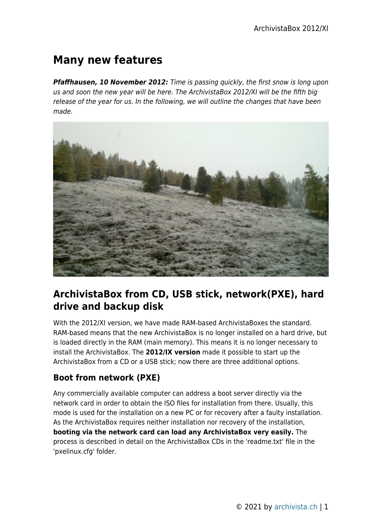# **Many new features**

*Pfaffhausen, 10 November 2012:* Time is passing quickly, the first snow is long upon us and soon the new year will be here. The ArchivistaBox 2012/XI will be the fifth big release of the year for us. In the following, we will outline the changes that have been made.



## **ArchivistaBox from CD, USB stick, network(PXE), hard drive and backup disk**

With the 2012/XI version, we have made RAM-based ArchivistaBoxes the standard. RAM-based means that the new ArchivistaBox is no longer installed on a hard drive, but is loaded directly in the RAM (main memory). This means it is no longer necessary to install the ArchivistaBox. The **2012/IX version** made it possible to start up the ArchivistaBox from a CD or a USB stick; now there are three additional options.

### **Boot from network (PXE)**

Any commercially available computer can address a boot server directly via the network card in order to obtain the ISO files for installation from there. Usually, this mode is used for the installation on a new PC or for recovery after a faulty installation. As the ArchivistaBox requires neither installation nor recovery of the installation, **booting via the network card can load any ArchivistaBox very easily.** The process is described in detail on the ArchivistaBox CDs in the 'readme.txt' file in the 'pxelinux.cfg' folder.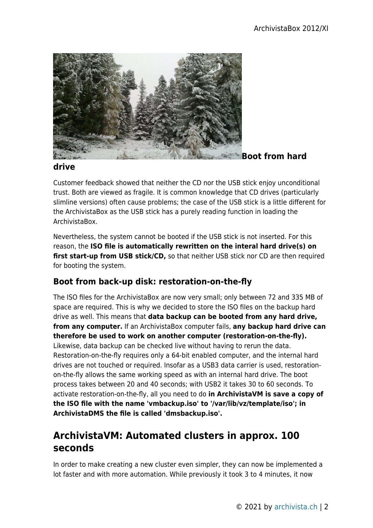

#### **drive**

Customer feedback showed that neither the CD nor the USB stick enjoy unconditional trust. Both are viewed as fragile. It is common knowledge that CD drives (particularly slimline versions) often cause problems; the case of the USB stick is a little different for the ArchivistaBox as the USB stick has a purely reading function in loading the ArchivistaBox.

Nevertheless, the system cannot be booted if the USB stick is not inserted. For this reason, the **ISO file is automatically rewritten on the interal hard drive(s) on** first start-up from USB stick/CD, so that neither USB stick nor CD are then required for booting the system.

### **Boot from back-up disk: restoration-on-the-fly**

The ISO files for the ArchivistaBox are now very small; only between 72 and 335 MB of space are required. This is why we decided to store the ISO files on the backup hard drive as well. This means that **data backup can be booted from any hard drive, from any computer.** If an ArchivistaBox computer fails, **any backup hard drive can therefore be used to work on another computer (restoration-on-the-fly).** Likewise, data backup can be checked live without having to rerun the data. Restoration-on-the-fly requires only a 64-bit enabled computer, and the internal hard drives are not touched or required. Insofar as a USB3 data carrier is used, restorationon-the-fly allows the same working speed as with an internal hard drive. The boot process takes between 20 and 40 seconds; with USB2 it takes 30 to 60 seconds. To activate restoration-on-the-fly, all you need to do **in ArchivistaVM is save a copy of the ISO file with the name 'vmbackup.iso' to '/var/lib/vz/template/iso'; in ArchivistaDMS the file is called 'dmsbackup.iso'.**

### **ArchivistaVM: Automated clusters in approx. 100 seconds**

In order to make creating a new cluster even simpler, they can now be implemented a lot faster and with more automation. While previously it took 3 to 4 minutes, it now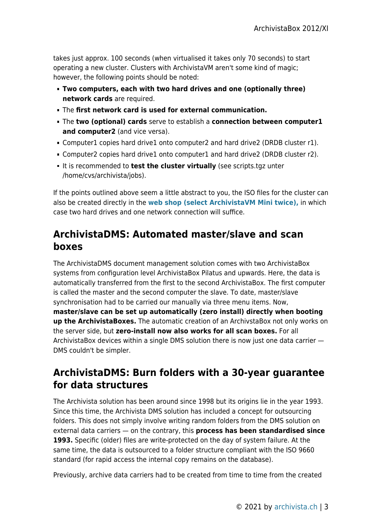takes just approx. 100 seconds (when virtualised it takes only 70 seconds) to start operating a new cluster. Clusters with ArchivistaVM aren't some kind of magic; however, the following points should be noted:

- **Two computers, each with two hard drives and one (optionally three) network cards** are required.
- The **first network card is used for external communication.**
- The **two (optional) cards** serve to establish a **connection between computer1 and computer2** (and vice versa).
- Computer1 copies hard drive1 onto computer2 and hard drive2 (DRDB cluster r1).
- Computer2 copies hard drive1 onto computer1 and hard drive2 (DRDB cluster r2).
- It is recommended to **test the cluster virtually** (see scripts.tgz unter /home/cvs/archivista/jobs).

If the points outlined above seem a little abstract to you, the ISO files for the cluster can also be created directly in the **[web shop \(select ArchivistaVM Mini twice\),](http://shop.archivista.ch/oscommunity/catalog/product_info.php?cPath=28&products_id=109)** in which case two hard drives and one network connection will suffice.

### **ArchivistaDMS: Automated master/slave and scan boxes**

The ArchivistaDMS document management solution comes with two ArchivistaBox systems from configuration level ArchivistaBox Pilatus and upwards. Here, the data is automatically transferred from the first to the second ArchivistaBox. The first computer is called the master and the second computer the slave. To date, master/slave synchronisation had to be carried our manually via three menu items. Now, **master/slave can be set up automatically (zero install) directly when booting up the ArchivistaBoxes.** The automatic creation of an ArchivstaBox not only works on the server side, but **zero-install now also works for all scan boxes.** For all ArchivistaBox devices within a single DMS solution there is now just one data carrier — DMS couldn't be simpler.

## **ArchivistaDMS: Burn folders with a 30-year guarantee for data structures**

The Archivista solution has been around since 1998 but its origins lie in the year 1993. Since this time, the Archivista DMS solution has included a concept for outsourcing folders. This does not simply involve writing random folders from the DMS solution on external data carriers — on the contrary, this **process has been standardised since 1993.** Specific (older) files are write-protected on the day of system failure. At the same time, the data is outsourced to a folder structure compliant with the ISO 9660 standard (for rapid access the internal copy remains on the database).

Previously, archive data carriers had to be created from time to time from the created